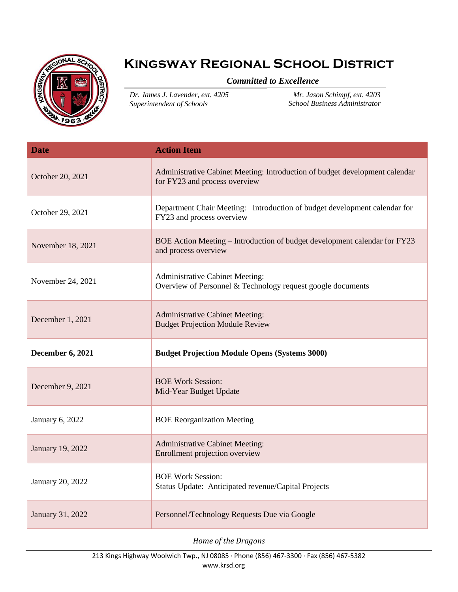

## **Kingsway Regional School District**

## *Committed to Excellence*

*Dr. James J. Lavender, ext. 4205 Superintendent of Schools*

*Mr. Jason Schimpf, ext. 4203 School Business Administrator*

| <b>Date</b>       | <b>Action Item</b>                                                                                           |
|-------------------|--------------------------------------------------------------------------------------------------------------|
| October 20, 2021  | Administrative Cabinet Meeting: Introduction of budget development calendar<br>for FY23 and process overview |
| October 29, 2021  | Department Chair Meeting: Introduction of budget development calendar for<br>FY23 and process overview       |
| November 18, 2021 | BOE Action Meeting – Introduction of budget development calendar for FY23<br>and process overview            |
| November 24, 2021 | <b>Administrative Cabinet Meeting:</b><br>Overview of Personnel & Technology request google documents        |
| December 1, 2021  | <b>Administrative Cabinet Meeting:</b><br><b>Budget Projection Module Review</b>                             |
| December 6, 2021  | <b>Budget Projection Module Opens (Systems 3000)</b>                                                         |
| December 9, 2021  |                                                                                                              |
|                   | <b>BOE Work Session:</b><br>Mid-Year Budget Update                                                           |
| January 6, 2022   | <b>BOE Reorganization Meeting</b>                                                                            |
| January 19, 2022  | <b>Administrative Cabinet Meeting:</b><br>Enrollment projection overview                                     |
| January 20, 2022  | <b>BOE Work Session:</b><br>Status Update: Anticipated revenue/Capital Projects                              |

*Home of the Dragons*